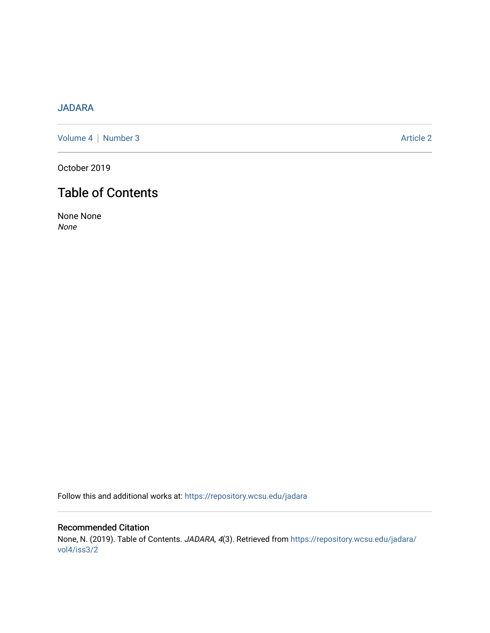## [JADARA](https://repository.wcsu.edu/jadara)

[Volume 4](https://repository.wcsu.edu/jadara/vol4) | [Number 3](https://repository.wcsu.edu/jadara/vol4/iss3) Article 2

October 2019

## Table of Contents

None None None

Follow this and additional works at: [https://repository.wcsu.edu/jadara](https://repository.wcsu.edu/jadara?utm_source=repository.wcsu.edu%2Fjadara%2Fvol4%2Fiss3%2F2&utm_medium=PDF&utm_campaign=PDFCoverPages)

## Recommended Citation None, N. (2019). Table of Contents. JADARA, 4(3). Retrieved from [https://repository.wcsu.edu/jadara/](https://repository.wcsu.edu/jadara/vol4/iss3/2?utm_source=repository.wcsu.edu%2Fjadara%2Fvol4%2Fiss3%2F2&utm_medium=PDF&utm_campaign=PDFCoverPages) [vol4/iss3/2](https://repository.wcsu.edu/jadara/vol4/iss3/2?utm_source=repository.wcsu.edu%2Fjadara%2Fvol4%2Fiss3%2F2&utm_medium=PDF&utm_campaign=PDFCoverPages)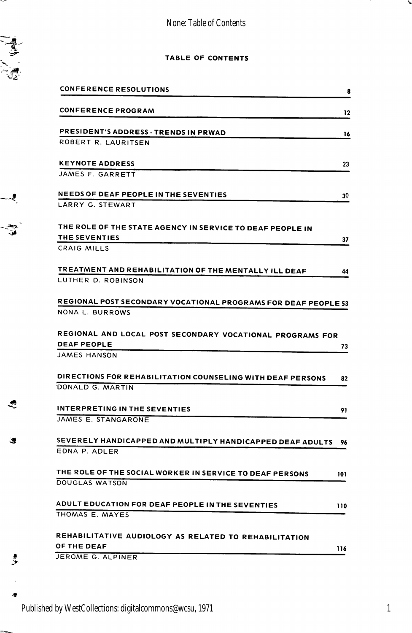None: Table of Contents



 $\overline{\phantom{a}}$ 

.<br>الفي.<br>الفي.

=

∽

## TABLE OF CONTENTS

|   | <b>CONFERENCE RESOLUTIONS</b>                                                                          | 8   |
|---|--------------------------------------------------------------------------------------------------------|-----|
|   | <b>CONFERENCE PROGRAM</b>                                                                              | 12  |
|   | PRESIDENT'S ADDRESS - TRENDS IN PRWAD                                                                  | 16  |
|   | ROBERT R. LAURITSEN                                                                                    |     |
|   | <b>KEYNOTE ADDRESS</b><br>JAMES F. GARRETT                                                             | 23  |
|   | <b>NEEDS OF DEAF PEOPLE IN THE SEVENTIES</b>                                                           | 30  |
|   | LARRY G. STEWART                                                                                       |     |
|   | THE ROLE OF THE STATE AGENCY IN SERVICE TO DEAF PEOPLE IN<br>THE SEVENTIES                             | 37  |
|   | CRAIG MILLS                                                                                            |     |
|   | TREATMENT AND REHABILITATION OF THE MENTALLY ILL DEAF<br>LUTHER D. ROBINSON                            | 44  |
|   | REGIONAL POST SECONDARY VOCATIONAL PROGRAMS FOR DEAF PEOPLE 53                                         |     |
|   | NONA L. BURROWS                                                                                        |     |
|   | REGIONAL AND LOCAL POST SECONDARY VOCATIONAL PROGRAMS FOR<br><b>DEAF PEOPLE</b><br><b>JAMES HANSON</b> | 73  |
|   | DIRECTIONS FOR REHABILITATION COUNSELING WITH DEAF PERSONS<br>DONALD G. MARTIN                         | 82  |
|   | <b>INTERPRETING IN THE SEVENTIES</b><br>JAMES E. STANGARONE                                            | 91  |
| œ | SEVERELY HANDICAPPED AND MULTIPLY HANDICAPPED DEAF ADULTS<br>EDNA P. ADLER                             | 96  |
|   | THE ROLE OF THE SOCIAL WORKER IN SERVICE TO DEAF PERSONS<br>DOUGLAS WATSON                             | 101 |
|   | ADULT EDUCATION FOR DEAF PEOPLE IN THE SEVENTIES<br>THOMAS E. MAYES                                    | 110 |
|   | REHABILITATIVE AUDIOLOGY AS RELATED TO REHABILITATION<br><b>OF THE DEAF</b><br>JEROME G. ALPINER       | 116 |
|   |                                                                                                        |     |

1